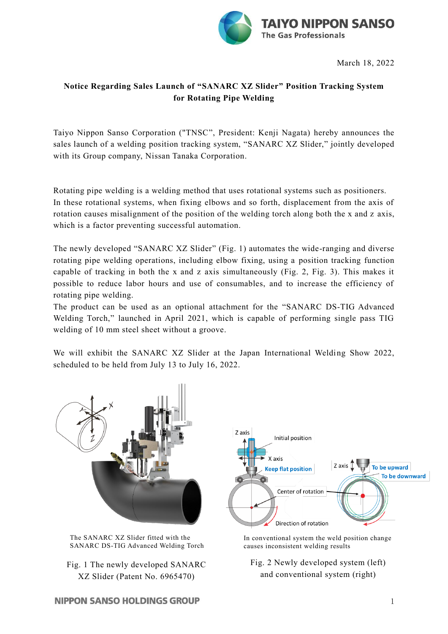

March 18, 2022

## **Notice Regarding Sales Launch of "SANARC XZ Slider" Position Tracking System for Rotating Pipe Welding**

Taiyo Nippon Sanso Corporation ("TNSC", President: Kenji Nagata) hereby announces the sales launch of a welding position tracking system, "SANARC XZ Slider," jointly developed with its Group company, Nissan Tanaka Corporation.

Rotating pipe welding is a welding method that uses rotational systems such as positioners. In these rotational systems, when fixing elbows and so forth, displacement from the axis of rotation causes misalignment of the position of the welding torch along both the x and z axis, which is a factor preventing successful automation.

The newly developed "SANARC XZ Slider" (Fig. 1) automates the wide-ranging and diverse rotating pipe welding operations, including elbow fixing, using a position tracking function capable of tracking in both the x and z axis simultaneously (Fig. 2, Fig. 3). This makes it possible to reduce labor hours and use of consumables, and to increase the efficiency of rotating pipe welding.

The product can be used as an optional attachment for the "SANARC DS-TIG Advanced Welding Torch," launched in April 2021, which is capable of performing single pass TIG welding of 10 mm steel sheet without a groove.

We will exhibit the SANARC XZ Slider at the Japan International Welding Show 2022, scheduled to be held from July 13 to July 16, 2022.



SANARC DS-TIG Advanced Welding Torch

Fig. 1 The newly developed SANARC XZ Slider (Patent No. 6965470)

In conventional system the weld position change causes inconsistent welding results

Fig. 2 Newly developed system (left) and conventional system (right)

## **NIPPON SANSO HOLDINGS GROUP**